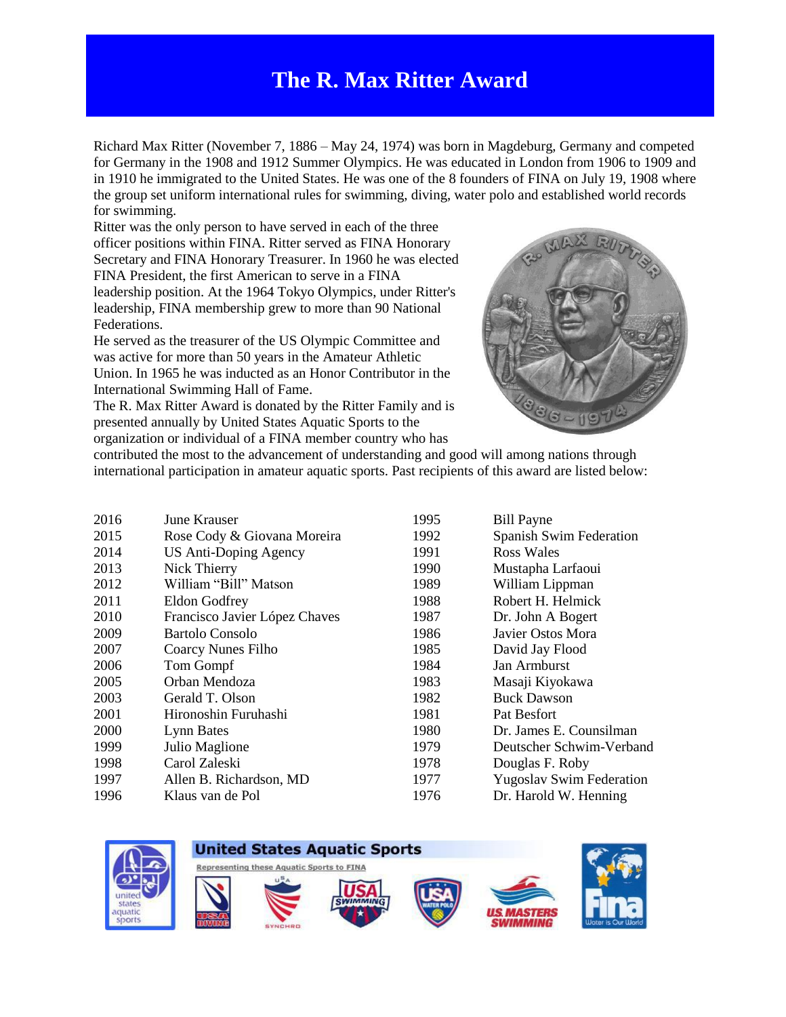## **The R. Max Ritter Award**

Richard Max Ritter (November 7, 1886 – May 24, 1974) was born in Magdeburg, Germany and competed for Germany in the 1908 and 1912 Summer Olympics. He was educated in London from 1906 to 1909 and in 1910 he immigrated to the United States. He was one of the 8 founders of FINA on July 19, 1908 where the group set uniform international rules for swimming, diving, water polo and established world records for swimming.

Ritter was the only person to have served in each of the three officer positions within FINA. Ritter served as FINA Honorary Secretary and FINA Honorary Treasurer. In 1960 he was elected FINA President, the first American to serve in a FINA leadership position. At the 1964 Tokyo Olympics, under Ritter's leadership, FINA membership grew to more than 90 National Federations.

He served as the treasurer of the US Olympic Committee and was active for more than 50 years in the Amateur Athletic Union. In 1965 he was inducted as an Honor Contributor in the International Swimming Hall of Fame.

The R. Max Ritter Award is donated by the Ritter Family and is presented annually by United States Aquatic Sports to the organization or individual of a FINA member country who has



contributed the most to the advancement of understanding and good will among nations through international participation in amateur aquatic sports. Past recipients of this award are listed below:

| 2016 | June Krauser                  | 1995 | <b>Bill Payne</b>               |
|------|-------------------------------|------|---------------------------------|
| 2015 | Rose Cody & Giovana Moreira   | 1992 | Spanish Swim Federation         |
| 2014 | US Anti-Doping Agency         | 1991 | Ross Wales                      |
| 2013 | Nick Thierry                  | 1990 | Mustapha Larfaoui               |
| 2012 | William "Bill" Matson         | 1989 | William Lippman                 |
| 2011 | <b>Eldon Godfrey</b>          | 1988 | Robert H. Helmick               |
| 2010 | Francisco Javier López Chaves | 1987 | Dr. John A Bogert               |
| 2009 | Bartolo Consolo               | 1986 | Javier Ostos Mora               |
| 2007 | Coarcy Nunes Filho            | 1985 | David Jay Flood                 |
| 2006 | Tom Gompf                     | 1984 | Jan Armburst                    |
| 2005 | Orban Mendoza                 | 1983 | Masaji Kiyokawa                 |
| 2003 | Gerald T. Olson               | 1982 | <b>Buck Dawson</b>              |
| 2001 | Hironoshin Furuhashi          | 1981 | Pat Besfort                     |
| 2000 | Lynn Bates                    | 1980 | Dr. James E. Counsilman         |
| 1999 | Julio Maglione                | 1979 | Deutscher Schwim-Verband        |
| 1998 | Carol Zaleski                 | 1978 | Douglas F. Roby                 |
| 1997 | Allen B. Richardson, MD       | 1977 | <b>Yugoslav Swim Federation</b> |
| 1996 | Klaus van de Pol              | 1976 | Dr. Harold W. Henning           |
|      |                               |      |                                 |

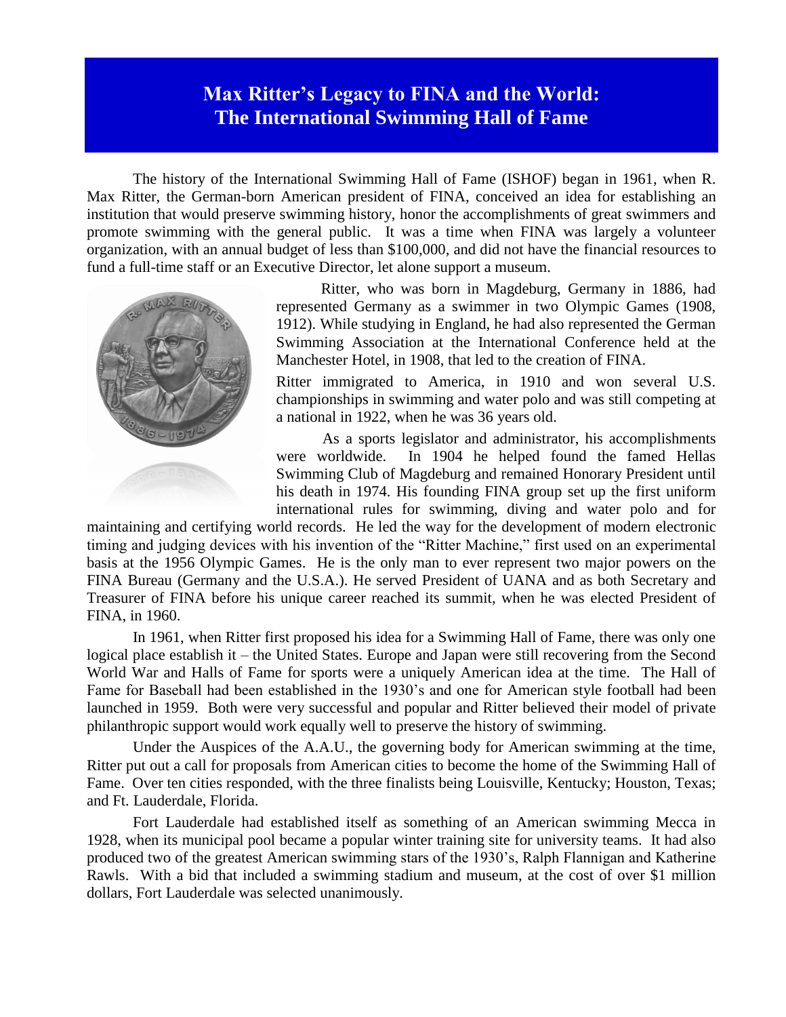## **Max Ritter's Legacy to FINA and the World: The International Swimming Hall of Fame**

The history of the International Swimming Hall of Fame (ISHOF) began in 1961, when R. Max Ritter, the German-born American president of FINA, conceived an idea for establishing an institution that would preserve swimming history, honor the accomplishments of great swimmers and promote swimming with the general public. It was a time when FINA was largely a volunteer organization, with an annual budget of less than \$100,000, and did not have the financial resources to fund a full-time staff or an Executive Director, let alone support a museum.



Ritter, who was born in Magdeburg, Germany in 1886, had represented Germany as a swimmer in two Olympic Games (1908, 1912). While studying in England, he had also represented the German Swimming Association at the International Conference held at the Manchester Hotel, in 1908, that led to the creation of FINA.

Ritter immigrated to America, in 1910 and won several U.S. championships in swimming and water polo and was still competing at a national in 1922, when he was 36 years old.

As a sports legislator and administrator, his accomplishments were worldwide. In 1904 he helped found the famed Hellas Swimming Club of Magdeburg and remained Honorary President until his death in 1974. His founding FINA group set up the first uniform international rules for swimming, diving and water polo and for

maintaining and certifying world records. He led the way for the development of modern electronic timing and judging devices with his invention of the "Ritter Machine," first used on an experimental basis at the 1956 Olympic Games. He is the only man to ever represent two major powers on the FINA Bureau (Germany and the U.S.A.). He served President of UANA and as both Secretary and Treasurer of FINA before his unique career reached its summit, when he was elected President of FINA, in 1960.

In 1961, when Ritter first proposed his idea for a Swimming Hall of Fame, there was only one logical place establish it – the United States. Europe and Japan were still recovering from the Second World War and Halls of Fame for sports were a uniquely American idea at the time. The Hall of Fame for Baseball had been established in the 1930's and one for American style football had been launched in 1959. Both were very successful and popular and Ritter believed their model of private philanthropic support would work equally well to preserve the history of swimming.

Under the Auspices of the A.A.U., the governing body for American swimming at the time, Ritter put out a call for proposals from American cities to become the home of the Swimming Hall of Fame. Over ten cities responded, with the three finalists being Louisville, Kentucky; Houston, Texas; and Ft. Lauderdale, Florida.

Fort Lauderdale had established itself as something of an American swimming Mecca in 1928, when its municipal pool became a popular winter training site for university teams. It had also produced two of the greatest American swimming stars of the 1930's, Ralph Flannigan and Katherine Rawls. With a bid that included a swimming stadium and museum, at the cost of over \$1 million dollars, Fort Lauderdale was selected unanimously.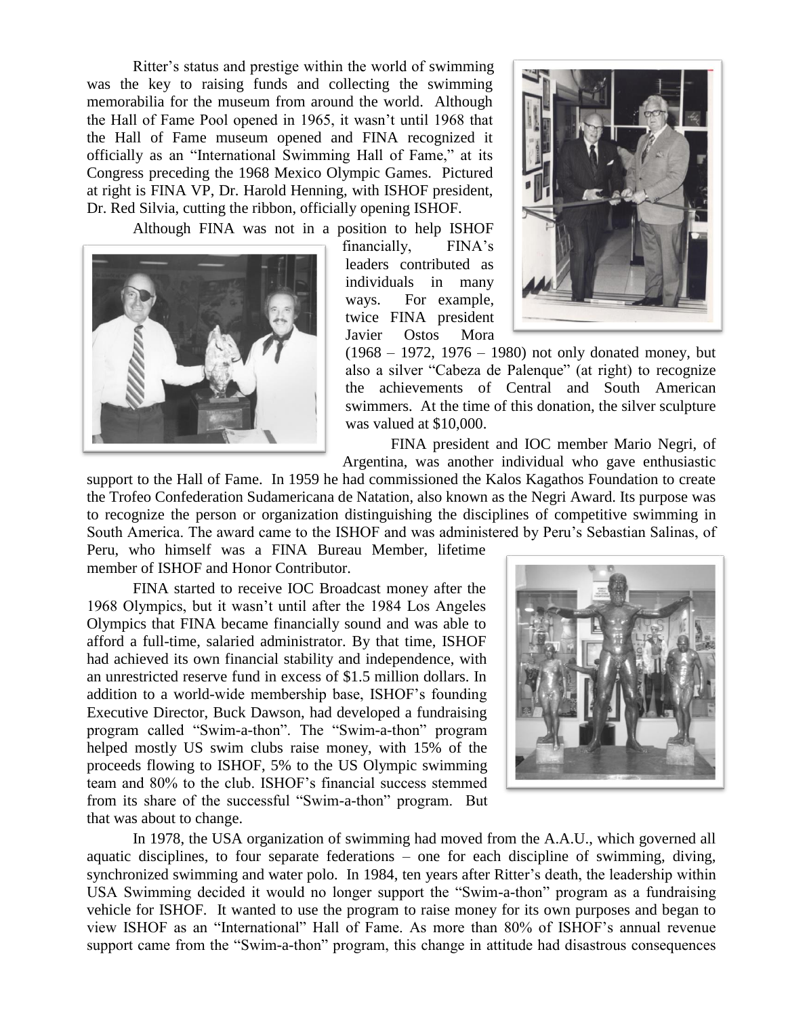Ritter's status and prestige within the world of swimming was the key to raising funds and collecting the swimming memorabilia for the museum from around the world. Although the Hall of Fame Pool opened in 1965, it wasn't until 1968 that the Hall of Fame museum opened and FINA recognized it officially as an "International Swimming Hall of Fame," at its Congress preceding the 1968 Mexico Olympic Games. Pictured at right is FINA VP, Dr. Harold Henning, with ISHOF president, Dr. Red Silvia, cutting the ribbon, officially opening ISHOF.

Although FINA was not in a position to help ISHOF



financially, FINA's leaders contributed as individuals in many ways. For example, twice FINA president Javier Ostos Mora



(1968 – 1972, 1976 – 1980) not only donated money, but also a silver "Cabeza de Palenque" (at right) to recognize the achievements of Central and South American swimmers. At the time of this donation, the silver sculpture was valued at \$10,000.

FINA president and IOC member Mario Negri, of Argentina, was another individual who gave enthusiastic

support to the Hall of Fame. In 1959 he had commissioned the Kalos Kagathos Foundation to create the Trofeo Confederation Sudamericana de Natation, also known as the Negri Award. Its purpose was to recognize the person or organization distinguishing the disciplines of competitive swimming in South America. The award came to the ISHOF and was administered by Peru's Sebastian Salinas, of

Peru, who himself was a FINA Bureau Member, lifetime member of ISHOF and Honor Contributor.

FINA started to receive IOC Broadcast money after the 1968 Olympics, but it wasn't until after the 1984 Los Angeles Olympics that FINA became financially sound and was able to afford a full-time, salaried administrator. By that time, ISHOF had achieved its own financial stability and independence, with an unrestricted reserve fund in excess of \$1.5 million dollars. In addition to a world-wide membership base, ISHOF's founding Executive Director, Buck Dawson, had developed a fundraising program called "Swim-a-thon". The "Swim-a-thon" program helped mostly US swim clubs raise money, with 15% of the proceeds flowing to ISHOF, 5% to the US Olympic swimming team and 80% to the club. ISHOF's financial success stemmed from its share of the successful "Swim-a-thon" program. But that was about to change.



In 1978, the USA organization of swimming had moved from the A.A.U., which governed all aquatic disciplines, to four separate federations – one for each discipline of swimming, diving, synchronized swimming and water polo. In 1984, ten years after Ritter's death, the leadership within USA Swimming decided it would no longer support the "Swim-a-thon" program as a fundraising vehicle for ISHOF. It wanted to use the program to raise money for its own purposes and began to view ISHOF as an "International" Hall of Fame. As more than 80% of ISHOF's annual revenue support came from the "Swim-a-thon" program, this change in attitude had disastrous consequences